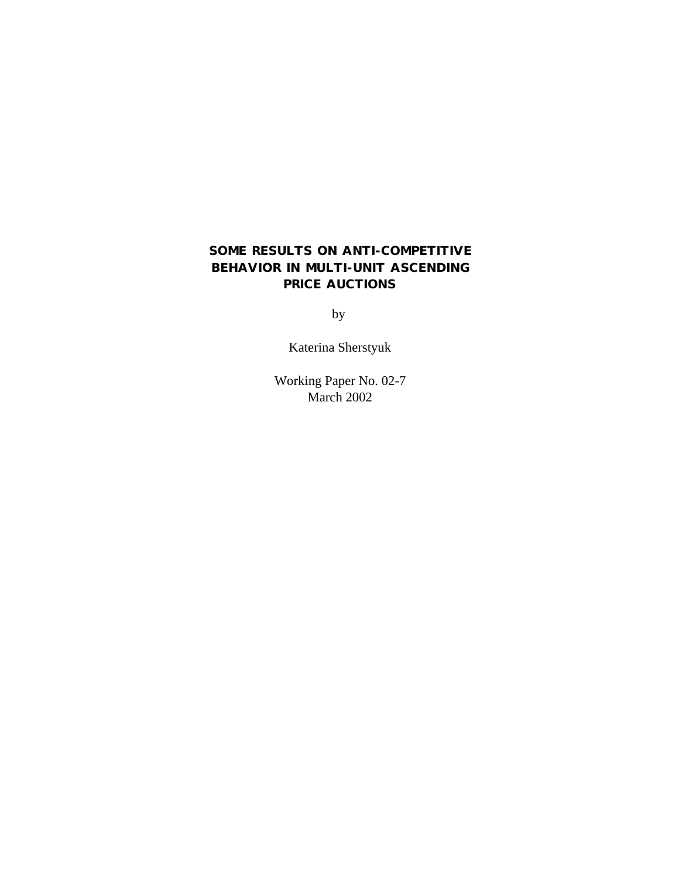# **SOME RESULTS ON ANTI-COMPETITIVE BEHAVIOR IN MULTI-UNIT ASCENDING PRICE AUCTIONS**

by

Katerina Sherstyuk

Working Paper No. 02-7 March 2002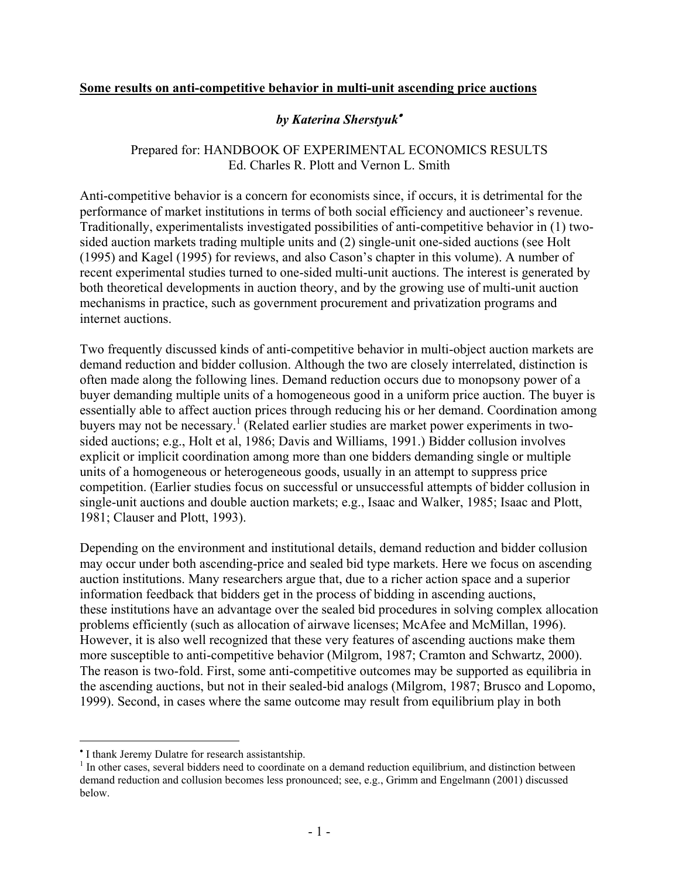# **Some results on anti-competitive behavior in multi-unit ascending price auctions**

# *by Katerina Sherstyuk*•

### Prepared for: HANDBOOK OF EXPERIMENTAL ECONOMICS RESULTS Ed. Charles R. Plott and Vernon L. Smith

Anti-competitive behavior is a concern for economists since, if occurs, it is detrimental for the performance of market institutions in terms of both social efficiency and auctioneer's revenue. Traditionally, experimentalists investigated possibilities of anti-competitive behavior in (1) twosided auction markets trading multiple units and (2) single-unit one-sided auctions (see Holt (1995) and Kagel (1995) for reviews, and also Cason's chapter in this volume). A number of recent experimental studies turned to one-sided multi-unit auctions. The interest is generated by both theoretical developments in auction theory, and by the growing use of multi-unit auction mechanisms in practice, such as government procurement and privatization programs and internet auctions.

Two frequently discussed kinds of anti-competitive behavior in multi-object auction markets are demand reduction and bidder collusion. Although the two are closely interrelated, distinction is often made along the following lines. Demand reduction occurs due to monopsony power of a buyer demanding multiple units of a homogeneous good in a uniform price auction. The buyer is essentially able to affect auction prices through reducing his or her demand. Coordination among buyers may not be necessary.<sup>1</sup> (Related earlier studies are market power experiments in twosided auctions; e.g., Holt et al, 1986; Davis and Williams, 1991.) Bidder collusion involves explicit or implicit coordination among more than one bidders demanding single or multiple units of a homogeneous or heterogeneous goods, usually in an attempt to suppress price competition. (Earlier studies focus on successful or unsuccessful attempts of bidder collusion in single-unit auctions and double auction markets; e.g., Isaac and Walker, 1985; Isaac and Plott, 1981; Clauser and Plott, 1993).

Depending on the environment and institutional details, demand reduction and bidder collusion may occur under both ascending-price and sealed bid type markets. Here we focus on ascending auction institutions. Many researchers argue that, due to a richer action space and a superior information feedback that bidders get in the process of bidding in ascending auctions, these institutions have an advantage over the sealed bid procedures in solving complex allocation problems efficiently (such as allocation of airwave licenses; McAfee and McMillan, 1996). However, it is also well recognized that these very features of ascending auctions make them more susceptible to anti-competitive behavior (Milgrom, 1987; Cramton and Schwartz, 2000). The reason is two-fold. First, some anti-competitive outcomes may be supported as equilibria in the ascending auctions, but not in their sealed-bid analogs (Milgrom, 1987; Brusco and Lopomo, 1999). Second, in cases where the same outcome may result from equilibrium play in both

<sup>•</sup> I thank Jeremy Dulatre for research assistantship.

<sup>&</sup>lt;sup>1</sup> In other cases, several bidders need to coordinate on a demand reduction equilibrium, and distinction between demand reduction and collusion becomes less pronounced; see, e.g., Grimm and Engelmann (2001) discussed below.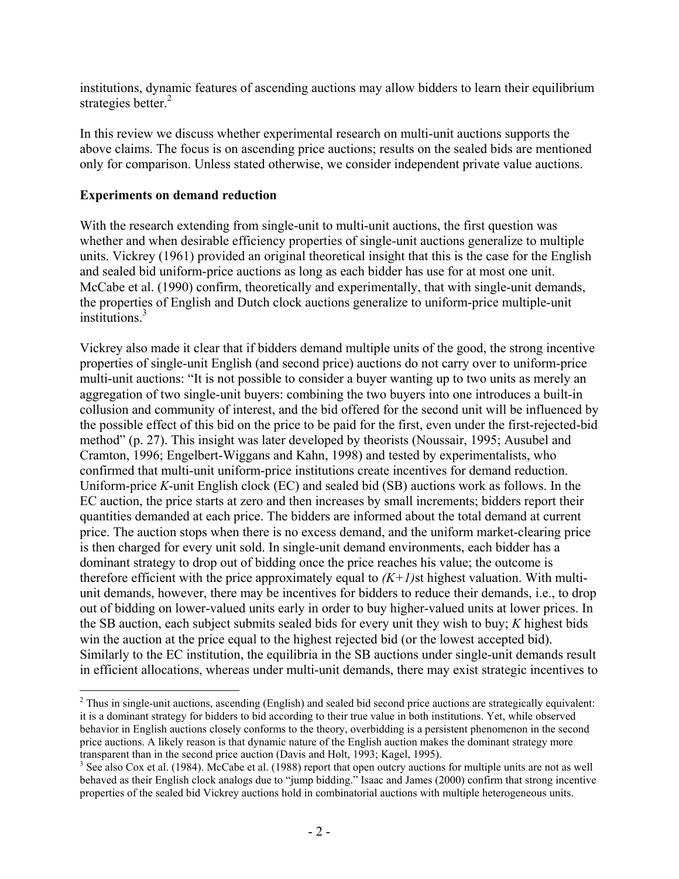institutions, dynamic features of ascending auctions may allow bidders to learn their equilibrium strategies better.<sup>2</sup>

In this review we discuss whether experimental research on multi-unit auctions supports the above claims. The focus is on ascending price auctions; results on the sealed bids are mentioned only for comparison. Unless stated otherwise, we consider independent private value auctions.

#### **Experiments on demand reduction**

 $\overline{a}$ 

With the research extending from single-unit to multi-unit auctions, the first question was whether and when desirable efficiency properties of single-unit auctions generalize to multiple units. Vickrey (1961) provided an original theoretical insight that this is the case for the English and sealed bid uniform-price auctions as long as each bidder has use for at most one unit. McCabe et al. (1990) confirm, theoretically and experimentally, that with single-unit demands, the properties of English and Dutch clock auctions generalize to uniform-price multiple-unit institutions.3

Vickrey also made it clear that if bidders demand multiple units of the good, the strong incentive properties of single-unit English (and second price) auctions do not carry over to uniform-price multi-unit auctions: "It is not possible to consider a buyer wanting up to two units as merely an aggregation of two single-unit buyers: combining the two buyers into one introduces a built-in collusion and community of interest, and the bid offered for the second unit will be influenced by the possible effect of this bid on the price to be paid for the first, even under the first-rejected-bid method" (p. 27). This insight was later developed by theorists (Noussair, 1995; Ausubel and Cramton, 1996; Engelbert-Wiggans and Kahn, 1998) and tested by experimentalists, who confirmed that multi-unit uniform-price institutions create incentives for demand reduction. Uniform-price *K*-unit English clock (EC) and sealed bid (SB) auctions work as follows. In the EC auction, the price starts at zero and then increases by small increments; bidders report their quantities demanded at each price. The bidders are informed about the total demand at current price. The auction stops when there is no excess demand, and the uniform market-clearing price is then charged for every unit sold. In single-unit demand environments, each bidder has a dominant strategy to drop out of bidding once the price reaches his value; the outcome is therefore efficient with the price approximately equal to  $(K+1)$ st highest valuation. With multiunit demands, however, there may be incentives for bidders to reduce their demands, i.e., to drop out of bidding on lower-valued units early in order to buy higher-valued units at lower prices. In the SB auction, each subject submits sealed bids for every unit they wish to buy; *K* highest bids win the auction at the price equal to the highest rejected bid (or the lowest accepted bid). Similarly to the EC institution, the equilibria in the SB auctions under single-unit demands result in efficient allocations, whereas under multi-unit demands, there may exist strategic incentives to

 $2^2$  Thus in single-unit auctions, ascending (English) and sealed bid second price auctions are strategically equivalent: it is a dominant strategy for bidders to bid according to their true value in both institutions. Yet, while observed behavior in English auctions closely conforms to the theory, overbidding is a persistent phenomenon in the second price auctions. A likely reason is that dynamic nature of the English auction makes the dominant strategy more transparent than in the second price auction (Davis and Holt, 1993; Kagel, 1995).

<sup>&</sup>lt;sup>3</sup> See also Cox et al. (1984). McCabe et al. (1988) report that open outcry auctions for multiple units are not as well behaved as their English clock analogs due to "jump bidding." Isaac and James (2000) confirm that strong incentive properties of the sealed bid Vickrey auctions hold in combinatorial auctions with multiple heterogeneous units.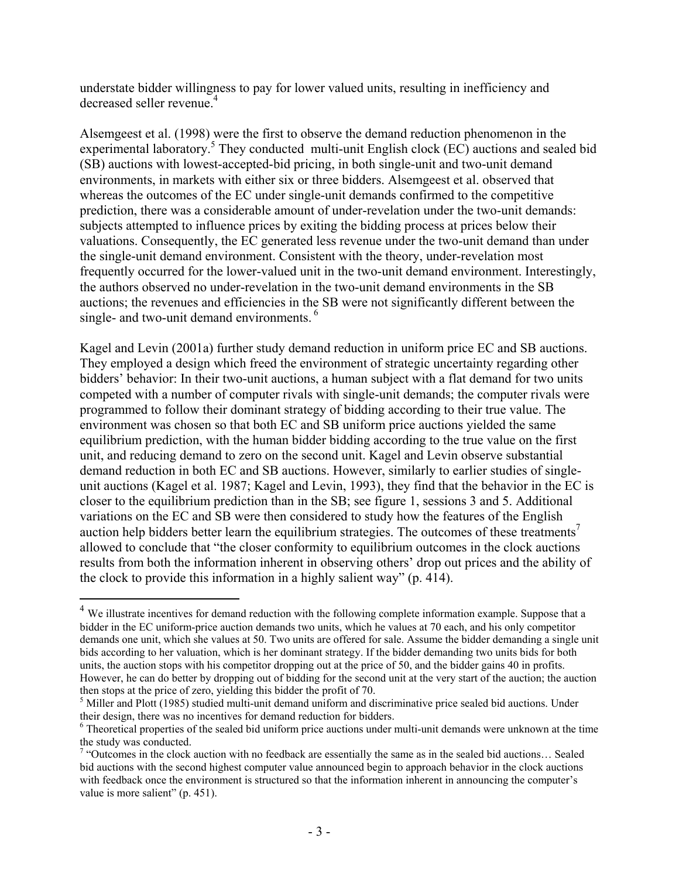understate bidder willingness to pay for lower valued units, resulting in inefficiency and decreased seller revenue.<sup>4</sup>

Alsemgeest et al. (1998) were the first to observe the demand reduction phenomenon in the experimental laboratory.<sup>5</sup> They conducted multi-unit English clock (EC) auctions and sealed bid (SB) auctions with lowest-accepted-bid pricing, in both single-unit and two-unit demand environments, in markets with either six or three bidders. Alsemgeest et al. observed that whereas the outcomes of the EC under single-unit demands confirmed to the competitive prediction, there was a considerable amount of under-revelation under the two-unit demands: subjects attempted to influence prices by exiting the bidding process at prices below their valuations. Consequently, the EC generated less revenue under the two-unit demand than under the single-unit demand environment. Consistent with the theory, under-revelation most frequently occurred for the lower-valued unit in the two-unit demand environment. Interestingly, the authors observed no under-revelation in the two-unit demand environments in the SB auctions; the revenues and efficiencies in the SB were not significantly different between the single- and two-unit demand environments.<sup>6</sup>

Kagel and Levin (2001a) further study demand reduction in uniform price EC and SB auctions. They employed a design which freed the environment of strategic uncertainty regarding other bidders' behavior: In their two-unit auctions, a human subject with a flat demand for two units competed with a number of computer rivals with single-unit demands; the computer rivals were programmed to follow their dominant strategy of bidding according to their true value. The environment was chosen so that both EC and SB uniform price auctions yielded the same equilibrium prediction, with the human bidder bidding according to the true value on the first unit, and reducing demand to zero on the second unit. Kagel and Levin observe substantial demand reduction in both EC and SB auctions. However, similarly to earlier studies of singleunit auctions (Kagel et al. 1987; Kagel and Levin, 1993), they find that the behavior in the EC is closer to the equilibrium prediction than in the SB; see figure 1, sessions 3 and 5. Additional variations on the EC and SB were then considered to study how the features of the English auction help bidders better learn the equilibrium strategies. The outcomes of these treatments<sup>7</sup> allowed to conclude that "the closer conformity to equilibrium outcomes in the clock auctions results from both the information inherent in observing others' drop out prices and the ability of the clock to provide this information in a highly salient way" (p. 414).

 $4$  We illustrate incentives for demand reduction with the following complete information example. Suppose that a bidder in the EC uniform-price auction demands two units, which he values at 70 each, and his only competitor demands one unit, which she values at 50. Two units are offered for sale. Assume the bidder demanding a single unit bids according to her valuation, which is her dominant strategy. If the bidder demanding two units bids for both units, the auction stops with his competitor dropping out at the price of 50, and the bidder gains 40 in profits. However, he can do better by dropping out of bidding for the second unit at the very start of the auction; the auction then stops at the price of zero, yielding this bidder the profit of 70.

<sup>&</sup>lt;sup>5</sup> Miller and Plott (1985) studied multi-unit demand uniform and discriminative price sealed bid auctions. Under their design, there was no incentives for demand reduction for bidders.

<sup>&</sup>lt;sup>6</sup> Theoretical properties of the sealed bid uniform price auctions under multi-unit demands were unknown at the time the study was conducted.

 $7$  "Outcomes in the clock auction with no feedback are essentially the same as in the sealed bid auctions... Sealed bid auctions with the second highest computer value announced begin to approach behavior in the clock auctions with feedback once the environment is structured so that the information inherent in announcing the computer's value is more salient" (p. 451).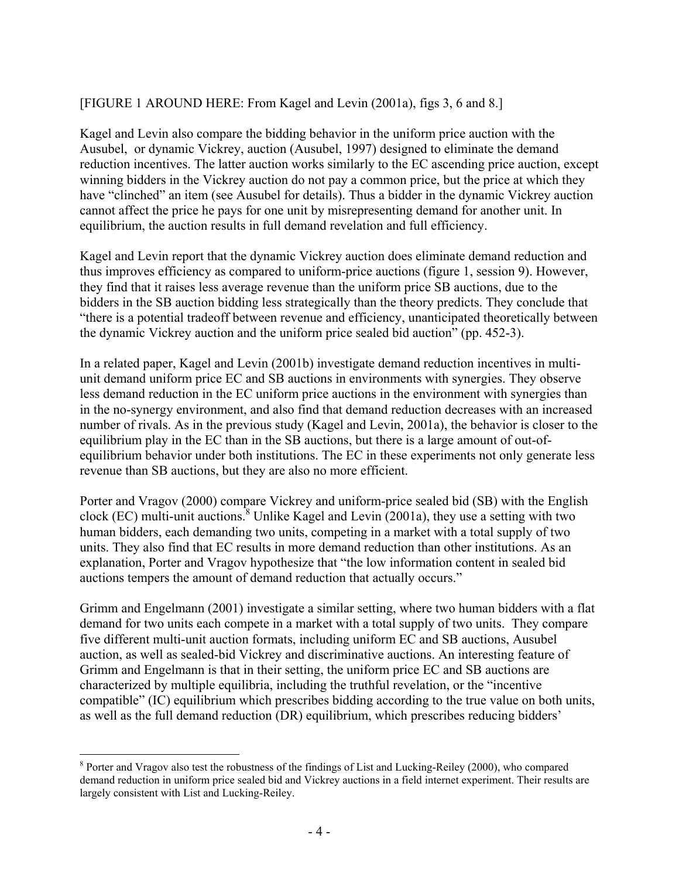# [FIGURE 1 AROUND HERE: From Kagel and Levin (2001a), figs 3, 6 and 8.]

Kagel and Levin also compare the bidding behavior in the uniform price auction with the Ausubel, or dynamic Vickrey, auction (Ausubel, 1997) designed to eliminate the demand reduction incentives. The latter auction works similarly to the EC ascending price auction, except winning bidders in the Vickrey auction do not pay a common price, but the price at which they have "clinched" an item (see Ausubel for details). Thus a bidder in the dynamic Vickrey auction cannot affect the price he pays for one unit by misrepresenting demand for another unit. In equilibrium, the auction results in full demand revelation and full efficiency.

Kagel and Levin report that the dynamic Vickrey auction does eliminate demand reduction and thus improves efficiency as compared to uniform-price auctions (figure 1, session 9). However, they find that it raises less average revenue than the uniform price SB auctions, due to the bidders in the SB auction bidding less strategically than the theory predicts. They conclude that "there is a potential tradeoff between revenue and efficiency, unanticipated theoretically between the dynamic Vickrey auction and the uniform price sealed bid auction" (pp. 452-3).

In a related paper, Kagel and Levin (2001b) investigate demand reduction incentives in multiunit demand uniform price EC and SB auctions in environments with synergies. They observe less demand reduction in the EC uniform price auctions in the environment with synergies than in the no-synergy environment, and also find that demand reduction decreases with an increased number of rivals. As in the previous study (Kagel and Levin, 2001a), the behavior is closer to the equilibrium play in the EC than in the SB auctions, but there is a large amount of out-ofequilibrium behavior under both institutions. The EC in these experiments not only generate less revenue than SB auctions, but they are also no more efficient.

Porter and Vragov (2000) compare Vickrey and uniform-price sealed bid (SB) with the English clock (EC) multi-unit auctions.<sup>8</sup> Unlike Kagel and Levin (2001a), they use a setting with two human bidders, each demanding two units, competing in a market with a total supply of two units. They also find that EC results in more demand reduction than other institutions. As an explanation, Porter and Vragov hypothesize that "the low information content in sealed bid auctions tempers the amount of demand reduction that actually occurs."

Grimm and Engelmann (2001) investigate a similar setting, where two human bidders with a flat demand for two units each compete in a market with a total supply of two units. They compare five different multi-unit auction formats, including uniform EC and SB auctions, Ausubel auction, as well as sealed-bid Vickrey and discriminative auctions. An interesting feature of Grimm and Engelmann is that in their setting, the uniform price EC and SB auctions are characterized by multiple equilibria, including the truthful revelation, or the "incentive compatible" (IC) equilibrium which prescribes bidding according to the true value on both units, as well as the full demand reduction (DR) equilibrium, which prescribes reducing bidders'

<sup>1</sup> <sup>8</sup> Porter and Vragov also test the robustness of the findings of List and Lucking-Reiley (2000), who compared demand reduction in uniform price sealed bid and Vickrey auctions in a field internet experiment. Their results are largely consistent with List and Lucking-Reiley.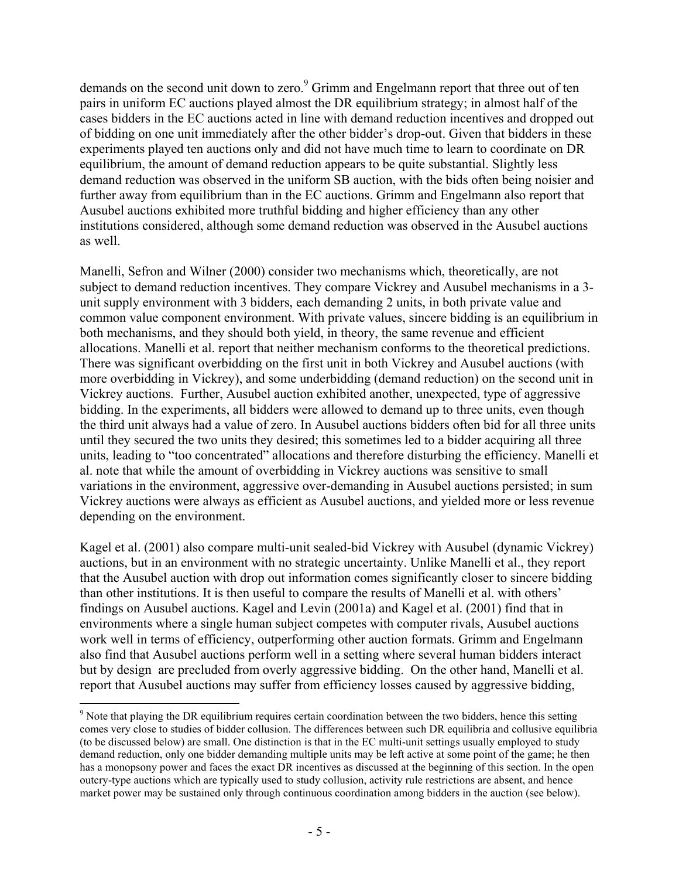demands on the second unit down to zero.<sup>9</sup> Grimm and Engelmann report that three out of ten pairs in uniform EC auctions played almost the DR equilibrium strategy; in almost half of the cases bidders in the EC auctions acted in line with demand reduction incentives and dropped out of bidding on one unit immediately after the other bidder's drop-out. Given that bidders in these experiments played ten auctions only and did not have much time to learn to coordinate on DR equilibrium, the amount of demand reduction appears to be quite substantial. Slightly less demand reduction was observed in the uniform SB auction, with the bids often being noisier and further away from equilibrium than in the EC auctions. Grimm and Engelmann also report that Ausubel auctions exhibited more truthful bidding and higher efficiency than any other institutions considered, although some demand reduction was observed in the Ausubel auctions as well.

Manelli, Sefron and Wilner (2000) consider two mechanisms which, theoretically, are not subject to demand reduction incentives. They compare Vickrey and Ausubel mechanisms in a 3 unit supply environment with 3 bidders, each demanding 2 units, in both private value and common value component environment. With private values, sincere bidding is an equilibrium in both mechanisms, and they should both yield, in theory, the same revenue and efficient allocations. Manelli et al. report that neither mechanism conforms to the theoretical predictions. There was significant overbidding on the first unit in both Vickrey and Ausubel auctions (with more overbidding in Vickrey), and some underbidding (demand reduction) on the second unit in Vickrey auctions. Further, Ausubel auction exhibited another, unexpected, type of aggressive bidding. In the experiments, all bidders were allowed to demand up to three units, even though the third unit always had a value of zero. In Ausubel auctions bidders often bid for all three units until they secured the two units they desired; this sometimes led to a bidder acquiring all three units, leading to "too concentrated" allocations and therefore disturbing the efficiency. Manelli et al. note that while the amount of overbidding in Vickrey auctions was sensitive to small variations in the environment, aggressive over-demanding in Ausubel auctions persisted; in sum Vickrey auctions were always as efficient as Ausubel auctions, and yielded more or less revenue depending on the environment.

Kagel et al. (2001) also compare multi-unit sealed-bid Vickrey with Ausubel (dynamic Vickrey) auctions, but in an environment with no strategic uncertainty. Unlike Manelli et al., they report that the Ausubel auction with drop out information comes significantly closer to sincere bidding than other institutions. It is then useful to compare the results of Manelli et al. with others' findings on Ausubel auctions. Kagel and Levin (2001a) and Kagel et al. (2001) find that in environments where a single human subject competes with computer rivals, Ausubel auctions work well in terms of efficiency, outperforming other auction formats. Grimm and Engelmann also find that Ausubel auctions perform well in a setting where several human bidders interact but by design are precluded from overly aggressive bidding. On the other hand, Manelli et al. report that Ausubel auctions may suffer from efficiency losses caused by aggressive bidding,

 $9$  Note that playing the DR equilibrium requires certain coordination between the two bidders, hence this setting comes very close to studies of bidder collusion. The differences between such DR equilibria and collusive equilibria (to be discussed below) are small. One distinction is that in the EC multi-unit settings usually employed to study demand reduction, only one bidder demanding multiple units may be left active at some point of the game; he then has a monopsony power and faces the exact DR incentives as discussed at the beginning of this section. In the open outcry-type auctions which are typically used to study collusion, activity rule restrictions are absent, and hence market power may be sustained only through continuous coordination among bidders in the auction (see below).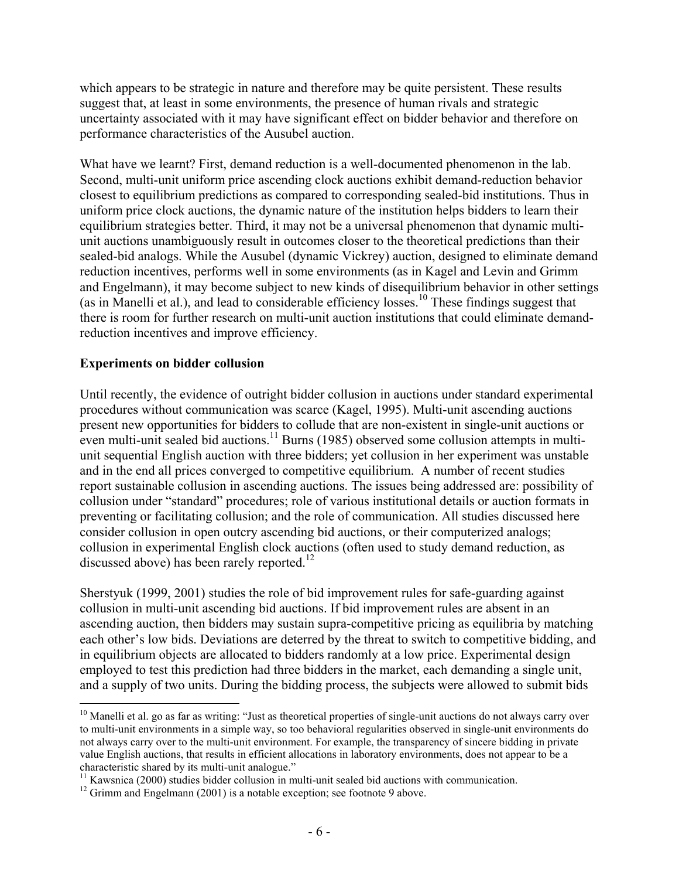which appears to be strategic in nature and therefore may be quite persistent. These results suggest that, at least in some environments, the presence of human rivals and strategic uncertainty associated with it may have significant effect on bidder behavior and therefore on performance characteristics of the Ausubel auction.

What have we learnt? First, demand reduction is a well-documented phenomenon in the lab. Second, multi-unit uniform price ascending clock auctions exhibit demand-reduction behavior closest to equilibrium predictions as compared to corresponding sealed-bid institutions. Thus in uniform price clock auctions, the dynamic nature of the institution helps bidders to learn their equilibrium strategies better. Third, it may not be a universal phenomenon that dynamic multiunit auctions unambiguously result in outcomes closer to the theoretical predictions than their sealed-bid analogs. While the Ausubel (dynamic Vickrey) auction, designed to eliminate demand reduction incentives, performs well in some environments (as in Kagel and Levin and Grimm and Engelmann), it may become subject to new kinds of disequilibrium behavior in other settings (as in Manelli et al.), and lead to considerable efficiency losses.<sup>10</sup> These findings suggest that there is room for further research on multi-unit auction institutions that could eliminate demandreduction incentives and improve efficiency.

#### **Experiments on bidder collusion**

<u>.</u>

Until recently, the evidence of outright bidder collusion in auctions under standard experimental procedures without communication was scarce (Kagel, 1995). Multi-unit ascending auctions present new opportunities for bidders to collude that are non-existent in single-unit auctions or even multi-unit sealed bid auctions.<sup>11</sup> Burns (1985) observed some collusion attempts in multiunit sequential English auction with three bidders; yet collusion in her experiment was unstable and in the end all prices converged to competitive equilibrium. A number of recent studies report sustainable collusion in ascending auctions. The issues being addressed are: possibility of collusion under "standard" procedures; role of various institutional details or auction formats in preventing or facilitating collusion; and the role of communication. All studies discussed here consider collusion in open outcry ascending bid auctions, or their computerized analogs; collusion in experimental English clock auctions (often used to study demand reduction, as discussed above) has been rarely reported.<sup>12</sup>

Sherstyuk (1999, 2001) studies the role of bid improvement rules for safe-guarding against collusion in multi-unit ascending bid auctions. If bid improvement rules are absent in an ascending auction, then bidders may sustain supra-competitive pricing as equilibria by matching each other's low bids. Deviations are deterred by the threat to switch to competitive bidding, and in equilibrium objects are allocated to bidders randomly at a low price. Experimental design employed to test this prediction had three bidders in the market, each demanding a single unit, and a supply of two units. During the bidding process, the subjects were allowed to submit bids

 $10$  Manelli et al. go as far as writing: "Just as theoretical properties of single-unit auctions do not always carry over to multi-unit environments in a simple way, so too behavioral regularities observed in single-unit environments do not always carry over to the multi-unit environment. For example, the transparency of sincere bidding in private value English auctions, that results in efficient allocations in laboratory environments, does not appear to be a

<sup>&</sup>lt;sup>11</sup> Kawsnica (2000) studies bidder collusion in multi-unit sealed bid auctions with communication. <sup>12</sup> Grimm and Engelmann (2001) is a notable exception; see footnote 9 above.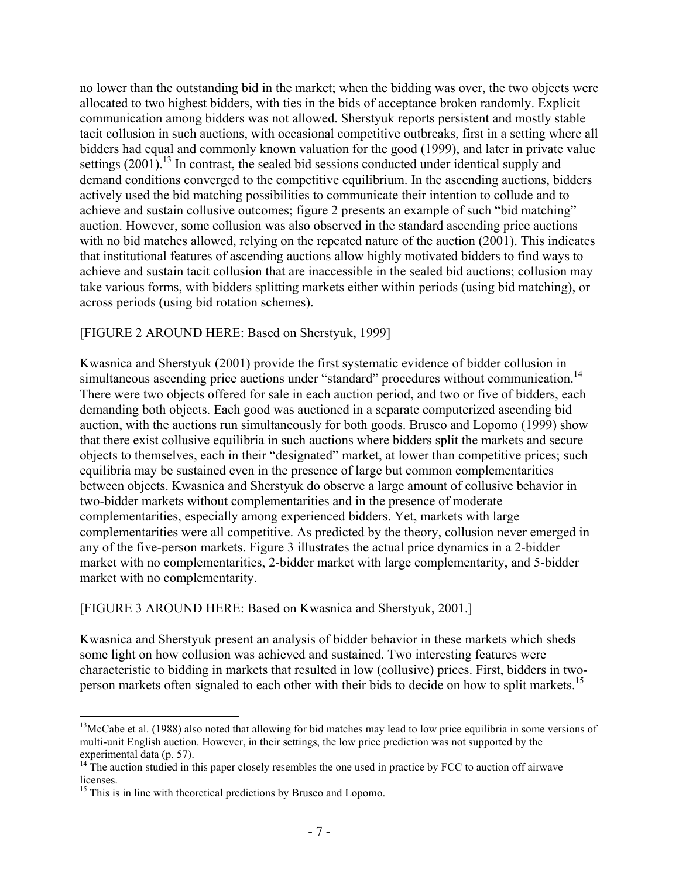no lower than the outstanding bid in the market; when the bidding was over, the two objects were allocated to two highest bidders, with ties in the bids of acceptance broken randomly. Explicit communication among bidders was not allowed. Sherstyuk reports persistent and mostly stable tacit collusion in such auctions, with occasional competitive outbreaks, first in a setting where all bidders had equal and commonly known valuation for the good (1999), and later in private value settings  $(2001)$ .<sup>13</sup> In contrast, the sealed bid sessions conducted under identical supply and demand conditions converged to the competitive equilibrium. In the ascending auctions, bidders actively used the bid matching possibilities to communicate their intention to collude and to achieve and sustain collusive outcomes; figure 2 presents an example of such "bid matching" auction. However, some collusion was also observed in the standard ascending price auctions with no bid matches allowed, relying on the repeated nature of the auction (2001). This indicates that institutional features of ascending auctions allow highly motivated bidders to find ways to achieve and sustain tacit collusion that are inaccessible in the sealed bid auctions; collusion may take various forms, with bidders splitting markets either within periods (using bid matching), or across periods (using bid rotation schemes).

# [FIGURE 2 AROUND HERE: Based on Sherstyuk, 1999]

Kwasnica and Sherstyuk (2001) provide the first systematic evidence of bidder collusion in simultaneous ascending price auctions under "standard" procedures without communication.<sup>14</sup> There were two objects offered for sale in each auction period, and two or five of bidders, each demanding both objects. Each good was auctioned in a separate computerized ascending bid auction, with the auctions run simultaneously for both goods. Brusco and Lopomo (1999) show that there exist collusive equilibria in such auctions where bidders split the markets and secure objects to themselves, each in their "designated" market, at lower than competitive prices; such equilibria may be sustained even in the presence of large but common complementarities between objects. Kwasnica and Sherstyuk do observe a large amount of collusive behavior in two-bidder markets without complementarities and in the presence of moderate complementarities, especially among experienced bidders. Yet, markets with large complementarities were all competitive. As predicted by the theory, collusion never emerged in any of the five-person markets. Figure 3 illustrates the actual price dynamics in a 2-bidder market with no complementarities, 2-bidder market with large complementarity, and 5-bidder market with no complementarity.

# [FIGURE 3 AROUND HERE: Based on Kwasnica and Sherstyuk, 2001.]

Kwasnica and Sherstyuk present an analysis of bidder behavior in these markets which sheds some light on how collusion was achieved and sustained. Two interesting features were characteristic to bidding in markets that resulted in low (collusive) prices. First, bidders in twoperson markets often signaled to each other with their bids to decide on how to split markets.<sup>15</sup>

1

<sup>&</sup>lt;sup>13</sup>McCabe et al. (1988) also noted that allowing for bid matches may lead to low price equilibria in some versions of multi-unit English auction. However, in their settings, the low price prediction was not supported by the experimental data (p. 57).

 $14$ <sup>14</sup> The auction studied in this paper closely resembles the one used in practice by FCC to auction off airwave licenses.

<sup>&</sup>lt;sup>15</sup> This is in line with theoretical predictions by Brusco and Lopomo.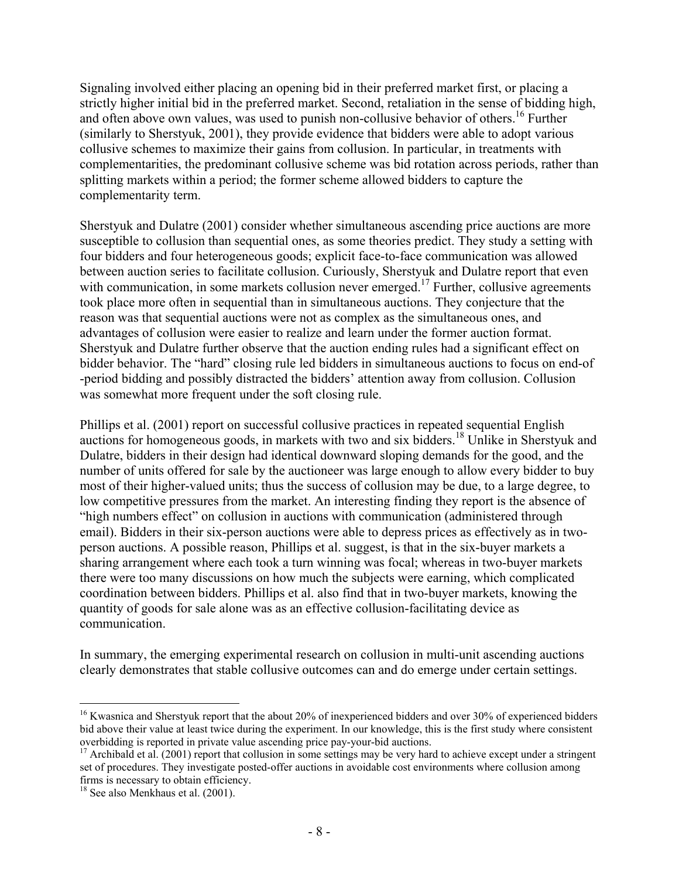Signaling involved either placing an opening bid in their preferred market first, or placing a strictly higher initial bid in the preferred market. Second, retaliation in the sense of bidding high, and often above own values, was used to punish non-collusive behavior of others.<sup>16</sup> Further (similarly to Sherstyuk, 2001), they provide evidence that bidders were able to adopt various collusive schemes to maximize their gains from collusion. In particular, in treatments with complementarities, the predominant collusive scheme was bid rotation across periods, rather than splitting markets within a period; the former scheme allowed bidders to capture the complementarity term.

Sherstyuk and Dulatre (2001) consider whether simultaneous ascending price auctions are more susceptible to collusion than sequential ones, as some theories predict. They study a setting with four bidders and four heterogeneous goods; explicit face-to-face communication was allowed between auction series to facilitate collusion. Curiously, Sherstyuk and Dulatre report that even with communication, in some markets collusion never emerged.<sup>17</sup> Further, collusive agreements took place more often in sequential than in simultaneous auctions. They conjecture that the reason was that sequential auctions were not as complex as the simultaneous ones, and advantages of collusion were easier to realize and learn under the former auction format. Sherstyuk and Dulatre further observe that the auction ending rules had a significant effect on bidder behavior. The "hard" closing rule led bidders in simultaneous auctions to focus on end-of -period bidding and possibly distracted the bidders' attention away from collusion. Collusion was somewhat more frequent under the soft closing rule.

Phillips et al. (2001) report on successful collusive practices in repeated sequential English auctions for homogeneous goods, in markets with two and six bidders.18 Unlike in Sherstyuk and Dulatre, bidders in their design had identical downward sloping demands for the good, and the number of units offered for sale by the auctioneer was large enough to allow every bidder to buy most of their higher-valued units; thus the success of collusion may be due, to a large degree, to low competitive pressures from the market. An interesting finding they report is the absence of "high numbers effect" on collusion in auctions with communication (administered through email). Bidders in their six-person auctions were able to depress prices as effectively as in twoperson auctions. A possible reason, Phillips et al. suggest, is that in the six-buyer markets a sharing arrangement where each took a turn winning was focal; whereas in two-buyer markets there were too many discussions on how much the subjects were earning, which complicated coordination between bidders. Phillips et al. also find that in two-buyer markets, knowing the quantity of goods for sale alone was as an effective collusion-facilitating device as communication.

In summary, the emerging experimental research on collusion in multi-unit ascending auctions clearly demonstrates that stable collusive outcomes can and do emerge under certain settings.

<sup>&</sup>lt;sup>16</sup> Kwasnica and Sherstyuk report that the about 20% of inexperienced bidders and over 30% of experienced bidders bid above their value at least twice during the experiment. In our knowledge, this is the first study where consistent overbidding is reported in private value ascending price pay-your-bid auctions.

<sup>&</sup>lt;sup>17</sup> Archibald et al. (2001) report that collusion in some settings may be very hard to achieve except under a stringent set of procedures. They investigate posted-offer auctions in avoidable cost environments where collusion among firms is necessary to obtain efficiency. 18 See also Menkhaus et al. (2001).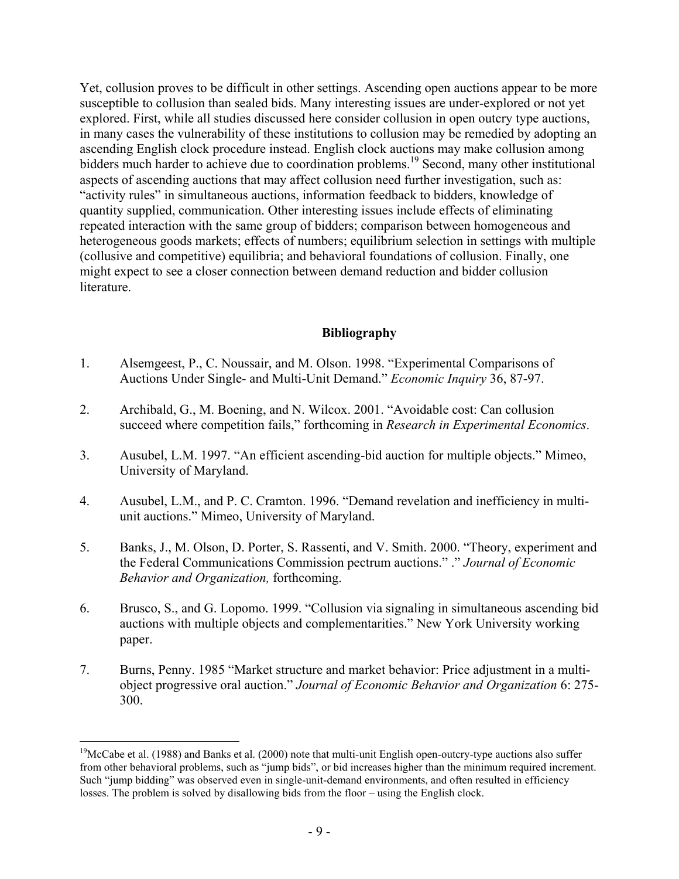Yet, collusion proves to be difficult in other settings. Ascending open auctions appear to be more susceptible to collusion than sealed bids. Many interesting issues are under-explored or not yet explored. First, while all studies discussed here consider collusion in open outcry type auctions, in many cases the vulnerability of these institutions to collusion may be remedied by adopting an ascending English clock procedure instead. English clock auctions may make collusion among bidders much harder to achieve due to coordination problems.<sup>19</sup> Second, many other institutional aspects of ascending auctions that may affect collusion need further investigation, such as: "activity rules" in simultaneous auctions, information feedback to bidders, knowledge of quantity supplied, communication. Other interesting issues include effects of eliminating repeated interaction with the same group of bidders; comparison between homogeneous and heterogeneous goods markets; effects of numbers; equilibrium selection in settings with multiple (collusive and competitive) equilibria; and behavioral foundations of collusion. Finally, one might expect to see a closer connection between demand reduction and bidder collusion literature.

# **Bibliography**

- 1. Alsemgeest, P., C. Noussair, and M. Olson. 1998. "Experimental Comparisons of Auctions Under Single- and Multi-Unit Demand." *Economic Inquiry* 36, 87-97.
- 2. Archibald, G., M. Boening, and N. Wilcox. 2001. "Avoidable cost: Can collusion succeed where competition fails," forthcoming in *Research in Experimental Economics*.
- 3. Ausubel, L.M. 1997. "An efficient ascending-bid auction for multiple objects." Mimeo, University of Maryland.
- 4. Ausubel, L.M., and P. C. Cramton. 1996. "Demand revelation and inefficiency in multiunit auctions." Mimeo, University of Maryland.
- 5. Banks, J., M. Olson, D. Porter, S. Rassenti, and V. Smith. 2000. "Theory, experiment and the Federal Communications Commission pectrum auctions." ." *Journal of Economic Behavior and Organization,* forthcoming.
- 6. Brusco, S., and G. Lopomo. 1999. "Collusion via signaling in simultaneous ascending bid auctions with multiple objects and complementarities." New York University working paper.
- 7. Burns, Penny. 1985 "Market structure and market behavior: Price adjustment in a multiobject progressive oral auction." *Journal of Economic Behavior and Organization* 6: 275- 300.

 $19$ McCabe et al. (1988) and Banks et al. (2000) note that multi-unit English open-outcry-type auctions also suffer from other behavioral problems, such as "jump bids", or bid increases higher than the minimum required increment. Such "jump bidding" was observed even in single-unit-demand environments, and often resulted in efficiency losses. The problem is solved by disallowing bids from the floor – using the English clock.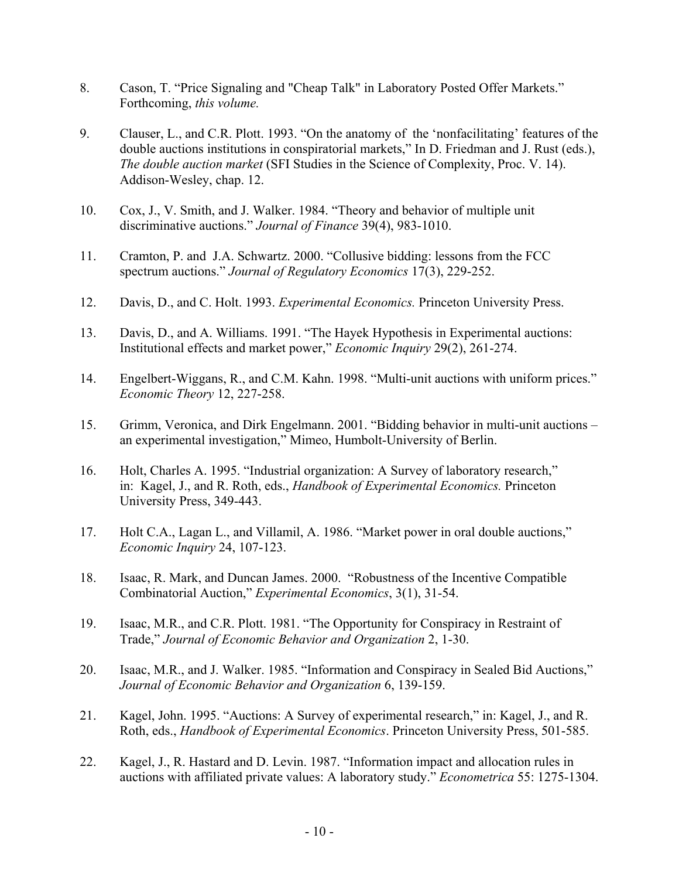- 8. Cason, T. "Price Signaling and "Cheap Talk" in Laboratory Posted Offer Markets." Forthcoming, *this volume.*
- 9. Clauser, L., and C.R. Plott. 1993. "On the anatomy of the 'nonfacilitating' features of the double auctions institutions in conspiratorial markets," In D. Friedman and J. Rust (eds.), *The double auction market* (SFI Studies in the Science of Complexity, Proc. V. 14). Addison-Wesley, chap. 12.
- 10. Cox, J., V. Smith, and J. Walker. 1984. "Theory and behavior of multiple unit discriminative auctions." *Journal of Finance* 39(4), 983-1010.
- 11. Cramton, P. and J.A. Schwartz. 2000. "Collusive bidding: lessons from the FCC spectrum auctions." *Journal of Regulatory Economics* 17(3), 229-252.
- 12. Davis, D., and C. Holt. 1993. *Experimental Economics.* Princeton University Press.
- 13. Davis, D., and A. Williams. 1991. "The Hayek Hypothesis in Experimental auctions: Institutional effects and market power," *Economic Inquiry* 29(2), 261-274.
- 14. Engelbert-Wiggans, R., and C.M. Kahn. 1998. "Multi-unit auctions with uniform prices." *Economic Theory* 12, 227-258.
- 15. Grimm, Veronica, and Dirk Engelmann. 2001. "Bidding behavior in multi-unit auctions an experimental investigation," Mimeo, Humbolt-University of Berlin.
- 16. Holt, Charles A. 1995. "Industrial organization: A Survey of laboratory research," in: Kagel, J., and R. Roth, eds., *Handbook of Experimental Economics.* Princeton University Press, 349-443.
- 17. Holt C.A., Lagan L., and Villamil, A. 1986. "Market power in oral double auctions," *Economic Inquiry* 24, 107-123.
- 18. Isaac, R. Mark, and Duncan James. 2000. "Robustness of the Incentive Compatible Combinatorial Auction," *Experimental Economics*, 3(1), 31-54.
- 19. Isaac, M.R., and C.R. Plott. 1981. "The Opportunity for Conspiracy in Restraint of Trade," *Journal of Economic Behavior and Organization* 2, 1-30.
- 20. Isaac, M.R., and J. Walker. 1985. "Information and Conspiracy in Sealed Bid Auctions," *Journal of Economic Behavior and Organization* 6, 139-159.
- 21. Kagel, John. 1995. "Auctions: A Survey of experimental research," in: Kagel, J., and R. Roth, eds., *Handbook of Experimental Economics*. Princeton University Press, 501-585.
- 22. Kagel, J., R. Hastard and D. Levin. 1987. "Information impact and allocation rules in auctions with affiliated private values: A laboratory study." *Econometrica* 55: 1275-1304.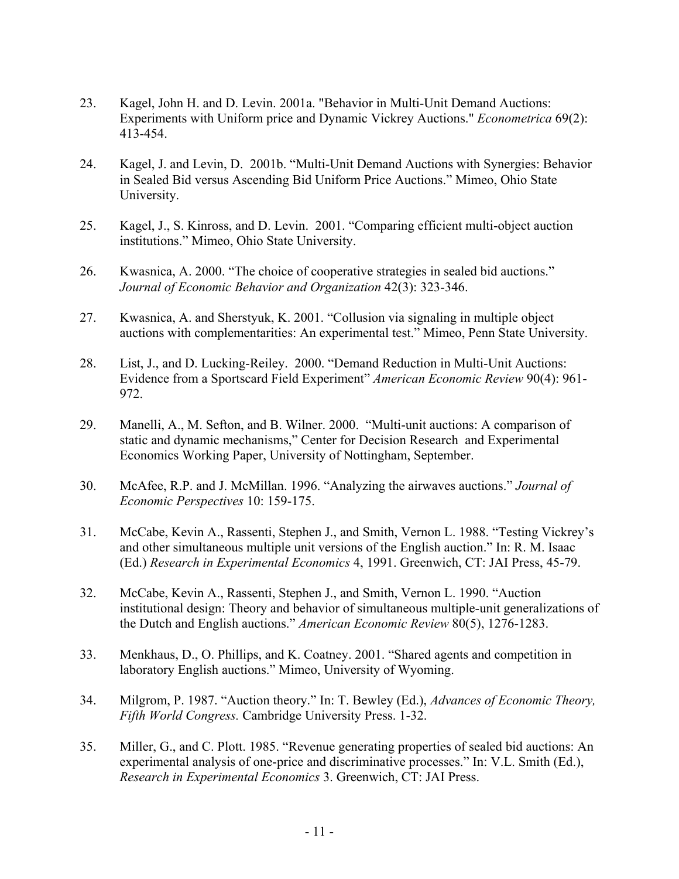- 23. Kagel, John H. and D. Levin. 2001a. "Behavior in Multi-Unit Demand Auctions: Experiments with Uniform price and Dynamic Vickrey Auctions." *Econometrica* 69(2): 413-454.
- 24. Kagel, J. and Levin, D. 2001b. "Multi-Unit Demand Auctions with Synergies: Behavior in Sealed Bid versus Ascending Bid Uniform Price Auctions." Mimeo, Ohio State University.
- 25. Kagel, J., S. Kinross, and D. Levin. 2001. "Comparing efficient multi-object auction institutions." Mimeo, Ohio State University.
- 26. Kwasnica, A. 2000. "The choice of cooperative strategies in sealed bid auctions." *Journal of Economic Behavior and Organization* 42(3): 323-346.
- 27. Kwasnica, A. and Sherstyuk, K. 2001. "Collusion via signaling in multiple object auctions with complementarities: An experimental test." Mimeo, Penn State University.
- 28. List, J., and D. Lucking-Reiley. 2000. "Demand Reduction in Multi-Unit Auctions: Evidence from a Sportscard Field Experiment" *American Economic Review* 90(4): 961- 972.
- 29. Manelli, A., M. Sefton, and B. Wilner. 2000. "Multi-unit auctions: A comparison of static and dynamic mechanisms," Center for Decision Research and Experimental Economics Working Paper, University of Nottingham, September.
- 30. McAfee, R.P. and J. McMillan. 1996. "Analyzing the airwaves auctions." *Journal of Economic Perspectives* 10: 159-175.
- 31. McCabe, Kevin A., Rassenti, Stephen J., and Smith, Vernon L. 1988. "Testing Vickrey's and other simultaneous multiple unit versions of the English auction." In: R. M. Isaac (Ed.) *Research in Experimental Economics* 4, 1991. Greenwich, CT: JAI Press, 45-79.
- 32. McCabe, Kevin A., Rassenti, Stephen J., and Smith, Vernon L. 1990. "Auction institutional design: Theory and behavior of simultaneous multiple-unit generalizations of the Dutch and English auctions." *American Economic Review* 80(5), 1276-1283.
- 33. Menkhaus, D., O. Phillips, and K. Coatney. 2001. "Shared agents and competition in laboratory English auctions." Mimeo, University of Wyoming.
- 34. Milgrom, P. 1987. "Auction theory." In: T. Bewley (Ed.), *Advances of Economic Theory, Fifth World Congress.* Cambridge University Press. 1-32.
- 35. Miller, G., and C. Plott. 1985. "Revenue generating properties of sealed bid auctions: An experimental analysis of one-price and discriminative processes." In: V.L. Smith (Ed.), *Research in Experimental Economics* 3. Greenwich, CT: JAI Press.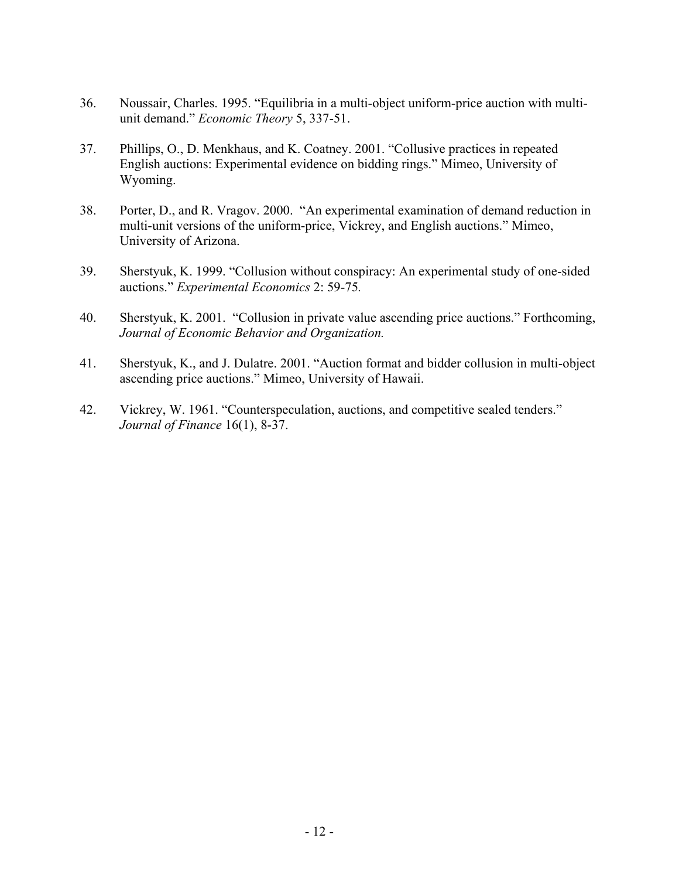- 36. Noussair, Charles. 1995. "Equilibria in a multi-object uniform-price auction with multiunit demand." *Economic Theory* 5, 337-51.
- 37. Phillips, O., D. Menkhaus, and K. Coatney. 2001. "Collusive practices in repeated English auctions: Experimental evidence on bidding rings." Mimeo, University of Wyoming.
- 38. Porter, D., and R. Vragov. 2000. "An experimental examination of demand reduction in multi-unit versions of the uniform-price, Vickrey, and English auctions." Mimeo, University of Arizona.
- 39. Sherstyuk, K. 1999. "Collusion without conspiracy: An experimental study of one-sided auctions." *Experimental Economics* 2: 59-75*.*
- 40. Sherstyuk, K. 2001. "Collusion in private value ascending price auctions." Forthcoming, *Journal of Economic Behavior and Organization.*
- 41. Sherstyuk, K., and J. Dulatre. 2001. "Auction format and bidder collusion in multi-object ascending price auctions." Mimeo, University of Hawaii.
- 42. Vickrey, W. 1961. "Counterspeculation, auctions, and competitive sealed tenders." *Journal of Finance* 16(1), 8-37.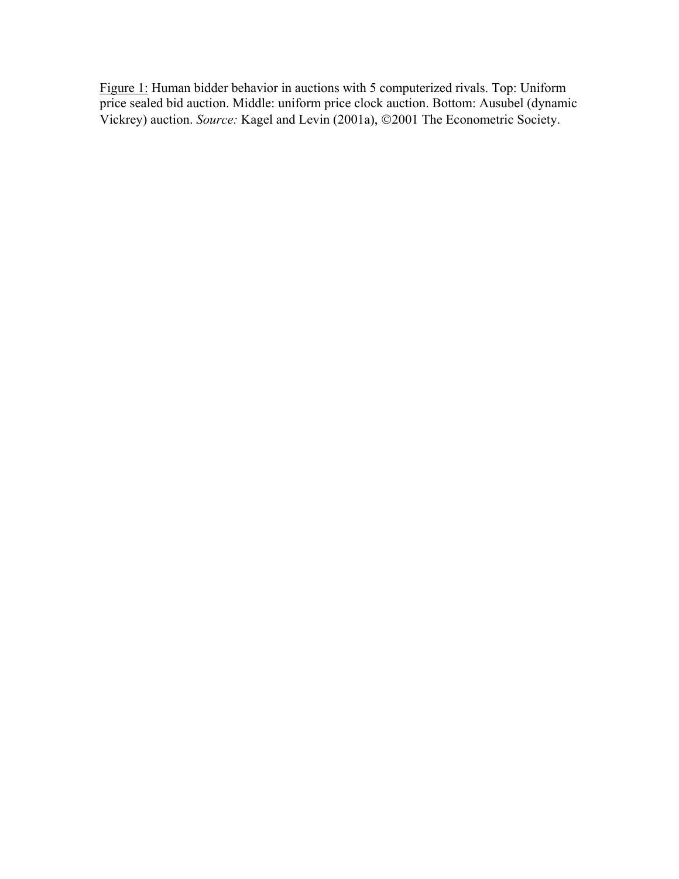Figure 1: Human bidder behavior in auctions with 5 computerized rivals. Top: Uniform price sealed bid auction. Middle: uniform price clock auction. Bottom: Ausubel (dynamic Vickrey) auction. *Source:* Kagel and Levin (2001a), ©2001 The Econometric Society.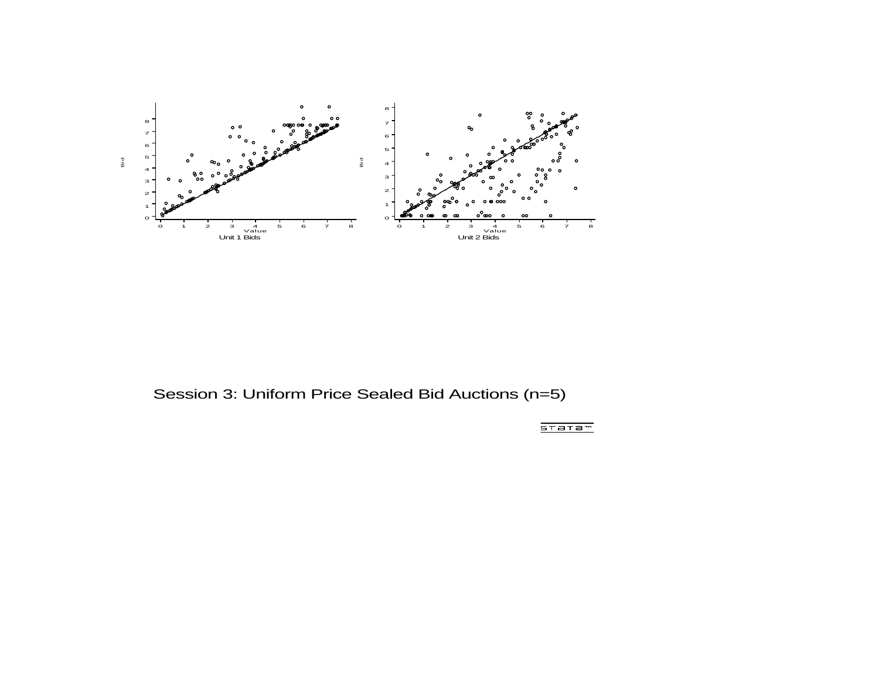

Session 3: Uniform Price Sealed Bid Auctions (n=5)

 $5T = T = T$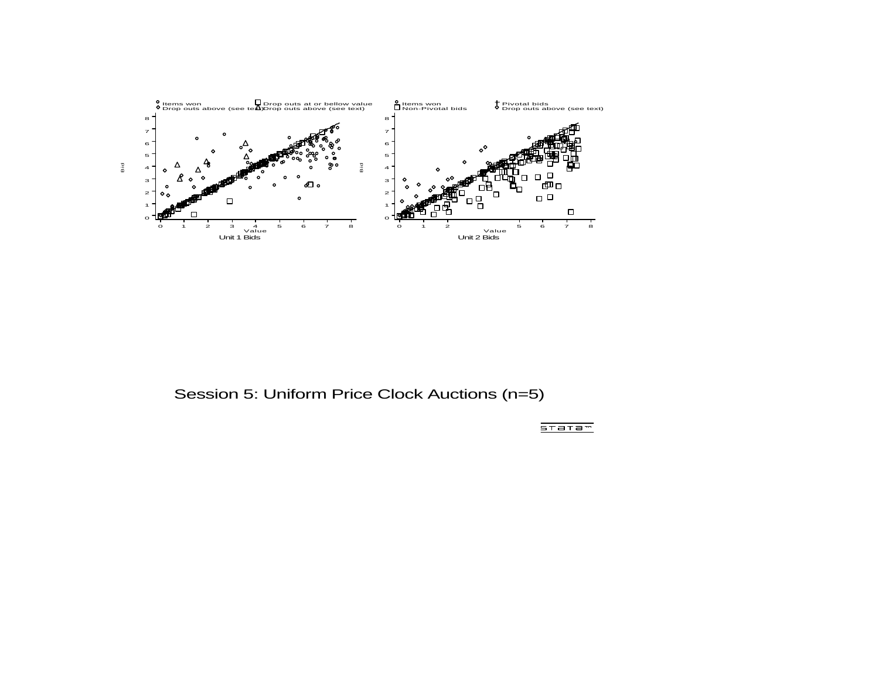

Session 5: Uniform Price Clock Auctions (n=5)

 $5T = T = T$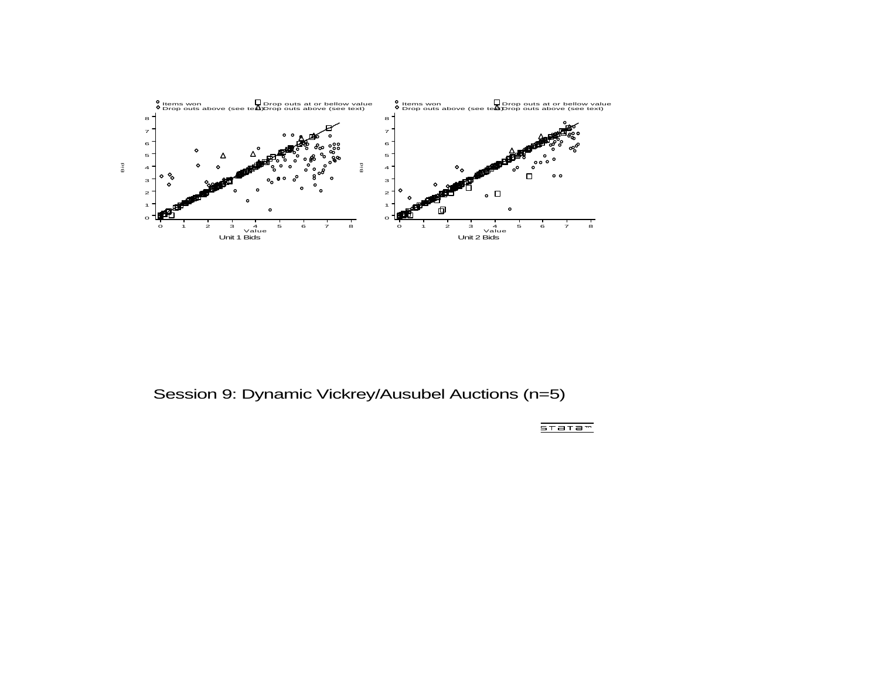

Session 9: Dynamic Vickrey/Ausubel Auctions (n=5)

 $5T = T = T$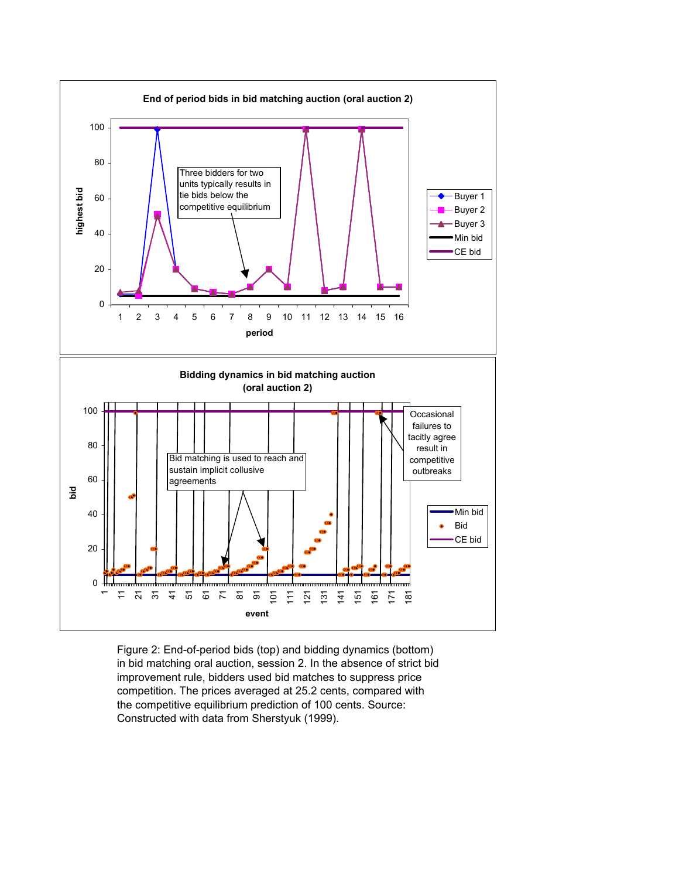

Figure 2: End-of-period bids (top) and bidding dynamics (bottom) in bid matching oral auction, session 2. In the absence of strict bid improvement rule, bidders used bid matches to suppress price competition. The prices averaged at 25.2 cents, compared with the competitive equilibrium prediction of 100 cents. Source: Constructed with data from Sherstyuk (1999).